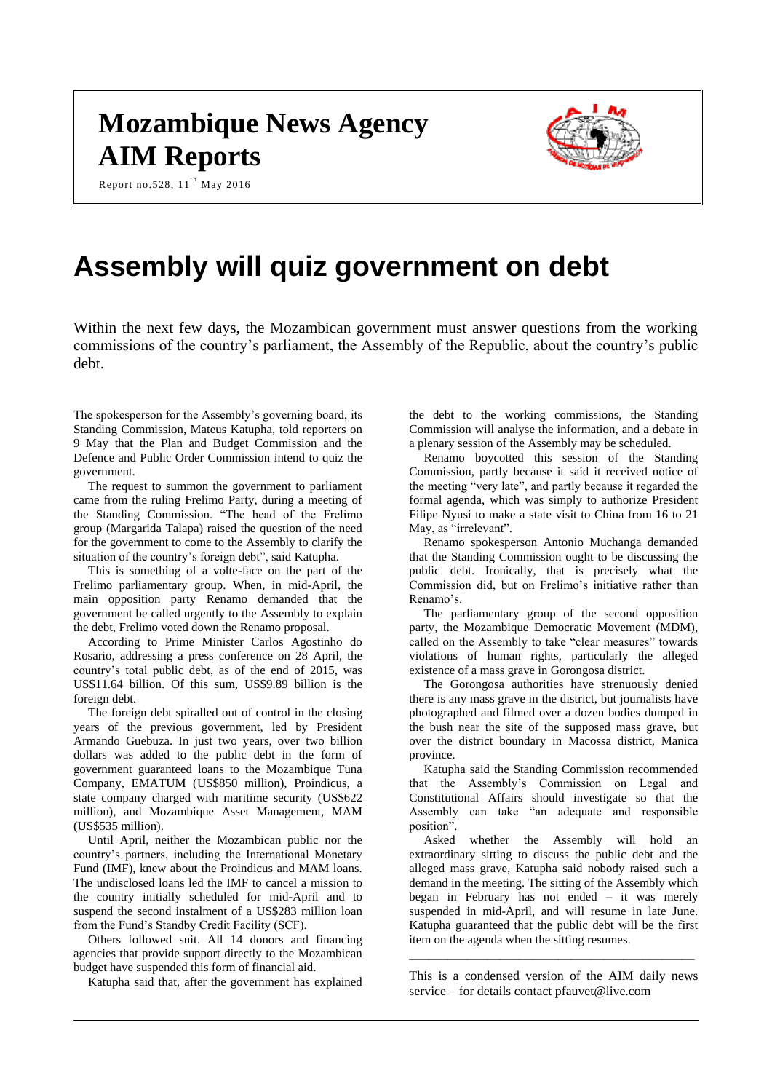# **Mozambique News Agency AIM Reports**



Report no.528,  $11^{th}$  May 2016

# **Assembly will quiz government on debt**

Within the next few days, the Mozambican government must answer questions from the working commissions of the country's parliament, the Assembly of the Republic, about the country's public debt.

The spokesperson for the Assembly's governing board, its Standing Commission, Mateus Katupha, told reporters on 9 May that the Plan and Budget Commission and the Defence and Public Order Commission intend to quiz the government.

The request to summon the government to parliament came from the ruling Frelimo Party, during a meeting of the Standing Commission. "The head of the Frelimo group (Margarida Talapa) raised the question of the need for the government to come to the Assembly to clarify the situation of the country's foreign debt", said Katupha.

This is something of a volte-face on the part of the Frelimo parliamentary group. When, in mid-April, the main opposition party Renamo demanded that the government be called urgently to the Assembly to explain the debt, Frelimo voted down the Renamo proposal.

According to Prime Minister Carlos Agostinho do Rosario, addressing a press conference on 28 April, the country's total public debt, as of the end of 2015, was US\$11.64 billion. Of this sum, US\$9.89 billion is the foreign debt.

The foreign debt spiralled out of control in the closing years of the previous government, led by President Armando Guebuza. In just two years, over two billion dollars was added to the public debt in the form of government guaranteed loans to the Mozambique Tuna Company, EMATUM (US\$850 million), Proindicus, a state company charged with maritime security (US\$622 million), and Mozambique Asset Management, MAM (US\$535 million).

Until April, neither the Mozambican public nor the country's partners, including the International Monetary Fund (IMF), knew about the Proindicus and MAM loans. The undisclosed loans led the IMF to cancel a mission to the country initially scheduled for mid-April and to suspend the second instalment of a US\$283 million loan from the Fund's Standby Credit Facility (SCF).

Others followed suit. All 14 donors and financing agencies that provide support directly to the Mozambican budget have suspended this form of financial aid.

Katupha said that, after the government has explained

the debt to the working commissions, the Standing Commission will analyse the information, and a debate in a plenary session of the Assembly may be scheduled.

Renamo boycotted this session of the Standing Commission, partly because it said it received notice of the meeting "very late", and partly because it regarded the formal agenda, which was simply to authorize President Filipe Nyusi to make a state visit to China from 16 to 21 May, as "irrelevant".

Renamo spokesperson Antonio Muchanga demanded that the Standing Commission ought to be discussing the public debt. Ironically, that is precisely what the Commission did, but on Frelimo's initiative rather than Renamo's.

The parliamentary group of the second opposition party, the Mozambique Democratic Movement (MDM), called on the Assembly to take "clear measures" towards violations of human rights, particularly the alleged existence of a mass grave in Gorongosa district.

The Gorongosa authorities have strenuously denied there is any mass grave in the district, but journalists have photographed and filmed over a dozen bodies dumped in the bush near the site of the supposed mass grave, but over the district boundary in Macossa district, Manica province.

Katupha said the Standing Commission recommended that the Assembly's Commission on Legal and Constitutional Affairs should investigate so that the Assembly can take "an adequate and responsible position".

Asked whether the Assembly will hold an extraordinary sitting to discuss the public debt and the alleged mass grave, Katupha said nobody raised such a demand in the meeting. The sitting of the Assembly which began in February has not ended – it was merely suspended in mid-April, and will resume in late June. Katupha guaranteed that the public debt will be the first item on the agenda when the sitting resumes.

This is a condensed version of the AIM daily news service – for details contact [pfauvet@live.com](mailto:pfauvet@live.com)

\_\_\_\_\_\_\_\_\_\_\_\_\_\_\_\_\_\_\_\_\_\_\_\_\_\_\_\_\_\_\_\_\_\_\_\_\_\_\_\_\_\_\_\_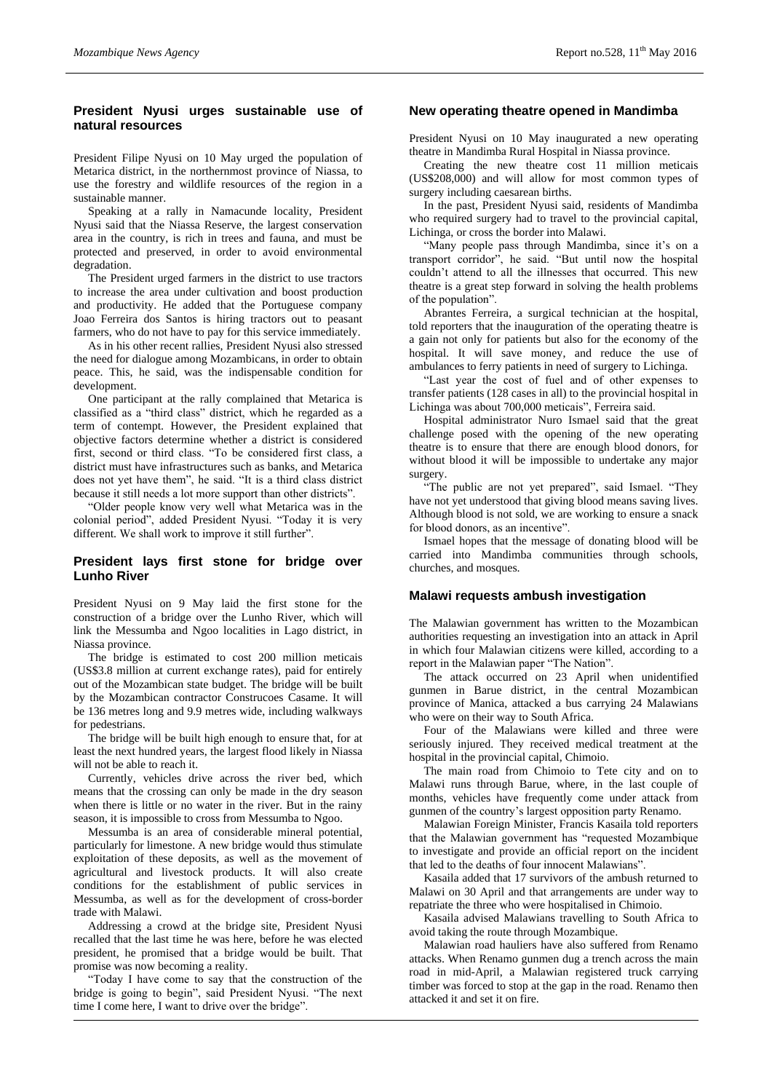## **President Nyusi urges sustainable use of natural resources**

President Filipe Nyusi on 10 May urged the population of Metarica district, in the northernmost province of Niassa, to use the forestry and wildlife resources of the region in a sustainable manner.

Speaking at a rally in Namacunde locality, President Nyusi said that the Niassa Reserve, the largest conservation area in the country, is rich in trees and fauna, and must be protected and preserved, in order to avoid environmental degradation.

The President urged farmers in the district to use tractors to increase the area under cultivation and boost production and productivity. He added that the Portuguese company Joao Ferreira dos Santos is hiring tractors out to peasant farmers, who do not have to pay for this service immediately.

As in his other recent rallies, President Nyusi also stressed the need for dialogue among Mozambicans, in order to obtain peace. This, he said, was the indispensable condition for development.

One participant at the rally complained that Metarica is classified as a "third class" district, which he regarded as a term of contempt. However, the President explained that objective factors determine whether a district is considered first, second or third class. "To be considered first class, a district must have infrastructures such as banks, and Metarica does not yet have them", he said. "It is a third class district because it still needs a lot more support than other districts".

"Older people know very well what Metarica was in the colonial period", added President Nyusi. "Today it is very different. We shall work to improve it still further".

## **President lays first stone for bridge over Lunho River**

President Nyusi on 9 May laid the first stone for the construction of a bridge over the Lunho River, which will link the Messumba and Ngoo localities in Lago district, in Niassa province.

The bridge is estimated to cost 200 million meticais (US\$3.8 million at current exchange rates), paid for entirely out of the Mozambican state budget. The bridge will be built by the Mozambican contractor Construcoes Casame. It will be 136 metres long and 9.9 metres wide, including walkways for pedestrians.

The bridge will be built high enough to ensure that, for at least the next hundred years, the largest flood likely in Niassa will not be able to reach it.

Currently, vehicles drive across the river bed, which means that the crossing can only be made in the dry season when there is little or no water in the river. But in the rainy season, it is impossible to cross from Messumba to Ngoo.

Messumba is an area of considerable mineral potential, particularly for limestone. A new bridge would thus stimulate exploitation of these deposits, as well as the movement of agricultural and livestock products. It will also create conditions for the establishment of public services in Messumba, as well as for the development of cross-border trade with Malawi.

Addressing a crowd at the bridge site, President Nyusi recalled that the last time he was here, before he was elected president, he promised that a bridge would be built. That promise was now becoming a reality.

"Today I have come to say that the construction of the bridge is going to begin", said President Nyusi. "The next time I come here, I want to drive over the bridge".

## **New operating theatre opened in Mandimba**

President Nyusi on 10 May inaugurated a new operating theatre in Mandimba Rural Hospital in Niassa province.

Creating the new theatre cost 11 million meticais (US\$208,000) and will allow for most common types of surgery including caesarean births.

In the past, President Nyusi said, residents of Mandimba who required surgery had to travel to the provincial capital, Lichinga, or cross the border into Malawi.

"Many people pass through Mandimba, since it's on a transport corridor", he said. "But until now the hospital couldn't attend to all the illnesses that occurred. This new theatre is a great step forward in solving the health problems of the population".

Abrantes Ferreira, a surgical technician at the hospital, told reporters that the inauguration of the operating theatre is a gain not only for patients but also for the economy of the hospital. It will save money, and reduce the use of ambulances to ferry patients in need of surgery to Lichinga.

"Last year the cost of fuel and of other expenses to transfer patients (128 cases in all) to the provincial hospital in Lichinga was about 700,000 meticais", Ferreira said.

Hospital administrator Nuro Ismael said that the great challenge posed with the opening of the new operating theatre is to ensure that there are enough blood donors, for without blood it will be impossible to undertake any major surgery.

"The public are not yet prepared", said Ismael. "They have not yet understood that giving blood means saving lives. Although blood is not sold, we are working to ensure a snack for blood donors, as an incentive".

Ismael hopes that the message of donating blood will be carried into Mandimba communities through schools, churches, and mosques.

## **Malawi requests ambush investigation**

The Malawian government has written to the Mozambican authorities requesting an investigation into an attack in April in which four Malawian citizens were killed, according to a report in the Malawian paper "The Nation".

The attack occurred on 23 April when unidentified gunmen in Barue district, in the central Mozambican province of Manica, attacked a bus carrying 24 Malawians who were on their way to South Africa.

Four of the Malawians were killed and three were seriously injured. They received medical treatment at the hospital in the provincial capital, Chimoio.

The main road from Chimoio to Tete city and on to Malawi runs through Barue, where, in the last couple of months, vehicles have frequently come under attack from gunmen of the country's largest opposition party Renamo.

Malawian Foreign Minister, Francis Kasaila told reporters that the Malawian government has "requested Mozambique to investigate and provide an official report on the incident that led to the deaths of four innocent Malawians".

Kasaila added that 17 survivors of the ambush returned to Malawi on 30 April and that arrangements are under way to repatriate the three who were hospitalised in Chimoio.

Kasaila advised Malawians travelling to South Africa to avoid taking the route through Mozambique.

Malawian road hauliers have also suffered from Renamo attacks. When Renamo gunmen dug a trench across the main road in mid-April, a Malawian registered truck carrying timber was forced to stop at the gap in the road. Renamo then attacked it and set it on fire.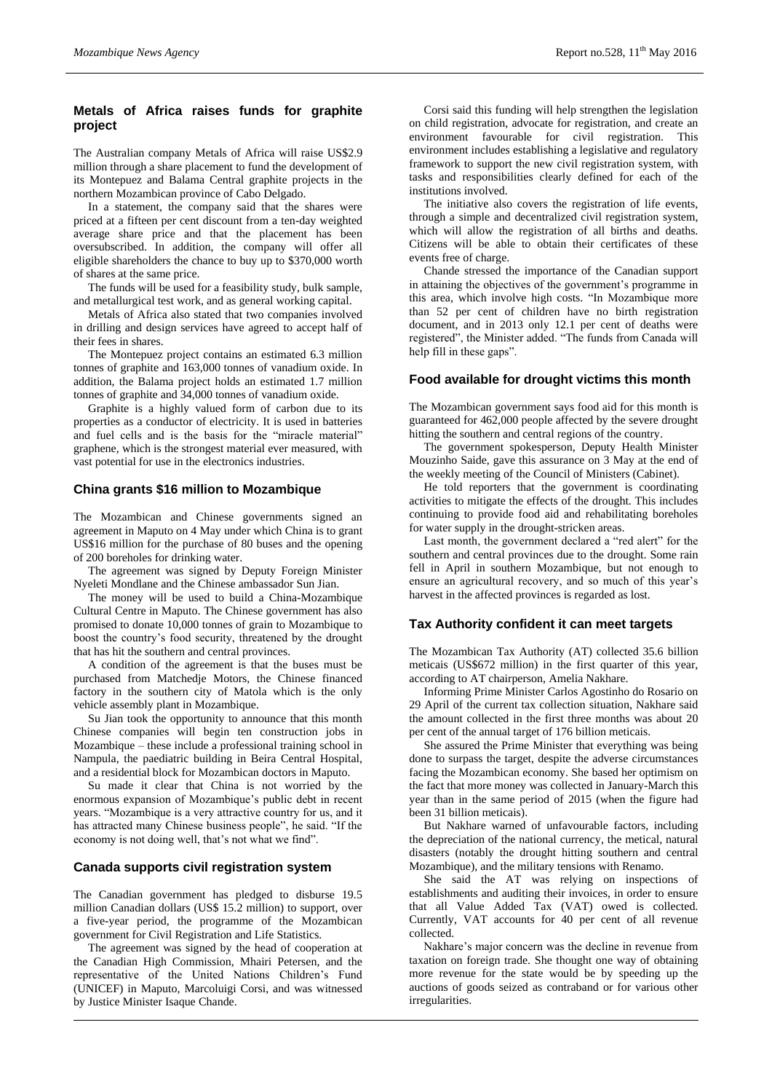## **Metals of Africa raises funds for graphite project**

The Australian company Metals of Africa will raise US\$2.9 million through a share placement to fund the development of its Montepuez and Balama Central graphite projects in the northern Mozambican province of Cabo Delgado.

In a statement, the company said that the shares were priced at a fifteen per cent discount from a ten-day weighted average share price and that the placement has been oversubscribed. In addition, the company will offer all eligible shareholders the chance to buy up to \$370,000 worth of shares at the same price.

The funds will be used for a feasibility study, bulk sample, and metallurgical test work, and as general working capital.

Metals of Africa also stated that two companies involved in drilling and design services have agreed to accept half of their fees in shares.

The Montepuez project contains an estimated 6.3 million tonnes of graphite and 163,000 tonnes of vanadium oxide. In addition, the Balama project holds an estimated 1.7 million tonnes of graphite and 34,000 tonnes of vanadium oxide.

Graphite is a highly valued form of carbon due to its properties as a conductor of electricity. It is used in batteries and fuel cells and is the basis for the "miracle material" graphene, which is the strongest material ever measured, with vast potential for use in the electronics industries.

#### **China grants \$16 million to Mozambique**

The Mozambican and Chinese governments signed an agreement in Maputo on 4 May under which China is to grant US\$16 million for the purchase of 80 buses and the opening of 200 boreholes for drinking water.

The agreement was signed by Deputy Foreign Minister Nyeleti Mondlane and the Chinese ambassador Sun Jian.

The money will be used to build a China-Mozambique Cultural Centre in Maputo. The Chinese government has also promised to donate 10,000 tonnes of grain to Mozambique to boost the country's food security, threatened by the drought that has hit the southern and central provinces.

A condition of the agreement is that the buses must be purchased from Matchedje Motors, the Chinese financed factory in the southern city of Matola which is the only vehicle assembly plant in Mozambique.

Su Jian took the opportunity to announce that this month Chinese companies will begin ten construction jobs in Mozambique – these include a professional training school in Nampula, the paediatric building in Beira Central Hospital, and a residential block for Mozambican doctors in Maputo.

Su made it clear that China is not worried by the enormous expansion of Mozambique's public debt in recent years. "Mozambique is a very attractive country for us, and it has attracted many Chinese business people", he said. "If the economy is not doing well, that's not what we find".

#### **Canada supports civil registration system**

The Canadian government has pledged to disburse 19.5 million Canadian dollars (US\$ 15.2 million) to support, over a five-year period, the programme of the Mozambican government for Civil Registration and Life Statistics.

The agreement was signed by the head of cooperation at the Canadian High Commission, Mhairi Petersen, and the representative of the United Nations Children's Fund (UNICEF) in Maputo, Marcoluigi Corsi, and was witnessed by Justice Minister Isaque Chande.

Corsi said this funding will help strengthen the legislation on child registration, advocate for registration, and create an environment favourable for civil registration. This environment includes establishing a legislative and regulatory framework to support the new civil registration system, with tasks and responsibilities clearly defined for each of the institutions involved.

The initiative also covers the registration of life events, through a simple and decentralized civil registration system, which will allow the registration of all births and deaths. Citizens will be able to obtain their certificates of these events free of charge.

Chande stressed the importance of the Canadian support in attaining the objectives of the government's programme in this area, which involve high costs. "In Mozambique more than 52 per cent of children have no birth registration document, and in 2013 only 12.1 per cent of deaths were registered", the Minister added. "The funds from Canada will help fill in these gaps".

# **Food available for drought victims this month**

The Mozambican government says food aid for this month is guaranteed for 462,000 people affected by the severe drought hitting the southern and central regions of the country.

The government spokesperson, Deputy Health Minister Mouzinho Saide, gave this assurance on 3 May at the end of the weekly meeting of the Council of Ministers (Cabinet).

He told reporters that the government is coordinating activities to mitigate the effects of the drought. This includes continuing to provide food aid and rehabilitating boreholes for water supply in the drought-stricken areas.

Last month, the government declared a "red alert" for the southern and central provinces due to the drought. Some rain fell in April in southern Mozambique, but not enough to ensure an agricultural recovery, and so much of this year's harvest in the affected provinces is regarded as lost.

### **Tax Authority confident it can meet targets**

The Mozambican Tax Authority (AT) collected 35.6 billion meticais (US\$672 million) in the first quarter of this year, according to AT chairperson, Amelia Nakhare.

Informing Prime Minister Carlos Agostinho do Rosario on 29 April of the current tax collection situation, Nakhare said the amount collected in the first three months was about 20 per cent of the annual target of 176 billion meticais.

She assured the Prime Minister that everything was being done to surpass the target, despite the adverse circumstances facing the Mozambican economy. She based her optimism on the fact that more money was collected in January-March this year than in the same period of 2015 (when the figure had been 31 billion meticais).

But Nakhare warned of unfavourable factors, including the depreciation of the national currency, the metical, natural disasters (notably the drought hitting southern and central Mozambique), and the military tensions with Renamo.

She said the AT was relying on inspections of establishments and auditing their invoices, in order to ensure that all Value Added Tax (VAT) owed is collected. Currently, VAT accounts for 40 per cent of all revenue collected.

Nakhare's major concern was the decline in revenue from taxation on foreign trade. She thought one way of obtaining more revenue for the state would be by speeding up the auctions of goods seized as contraband or for various other irregularities.